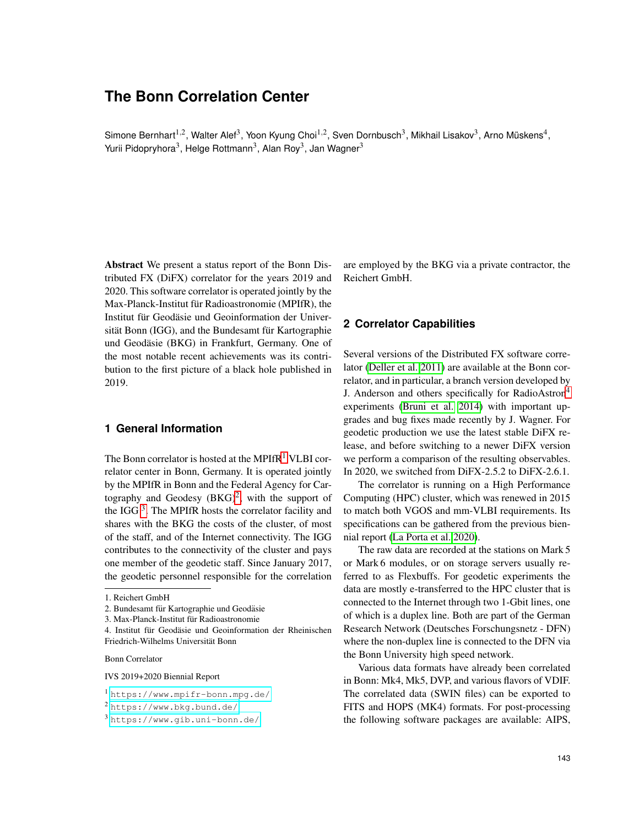# **The Bonn Correlation Center**

Simone Bernhart<sup>1,2</sup>, Walter Alef<sup>3</sup>, Yoon Kyung Choi<sup>1,2</sup>, Sven Dornbusch<sup>3</sup>, Mikhail Lisakov<sup>3</sup>, Arno Müskens<sup>4</sup>, Yurii Pidopryhora<sup>3</sup>, Helge Rottmann<sup>3</sup>, Alan Roy<sup>3</sup>, Jan Wagner<sup>3</sup>

Abstract We present a status report of the Bonn Distributed FX (DiFX) correlator for the years 2019 and 2020. This software correlator is operated jointly by the Max-Planck-Institut für Radioastronomie (MPIfR), the Institut für Geodäsie und Geoinformation der Universität Bonn (IGG), and the Bundesamt für Kartographie und Geodäsie (BKG) in Frankfurt, Germany. One of the most notable recent achievements was its contribution to the first picture of a black hole published in 2019.

## **1 General Information**

The Bonn correlator is hosted at the MPIfR<sup>[1](#page-0-0)</sup> VLBI correlator center in Bonn, Germany. It is operated jointly by the MPIfR in Bonn and the Federal Agency for Cartography and Geodesy  $(BKG)^2$  $(BKG)^2$ , with the support of the IGG  $3$ . The MPIfR hosts the correlator facility and shares with the BKG the costs of the cluster, of most of the staff, and of the Internet connectivity. The IGG contributes to the connectivity of the cluster and pays one member of the geodetic staff. Since January 2017, the geodetic personnel responsible for the correlation

Bonn Correlator

IVS 2019+2020 Biennial Report

are employed by the BKG via a private contractor, the Reichert GmbH.

#### **2 Correlator Capabilities**

Several versions of the Distributed FX software correlator [\(Deller et al. 2011\)](#page-4-0) are available at the Bonn correlator, and in particular, a branch version developed by J. Anderson and others specifically for RadioAstron<sup>4</sup> experiments [\(Bruni et al. 2014\)](#page-4-1) with important upgrades and bug fixes made recently by J. Wagner. For geodetic production we use the latest stable DiFX release, and before switching to a newer DiFX version we perform a comparison of the resulting observables. In 2020, we switched from DiFX-2.5.2 to DiFX-2.6.1.

The correlator is running on a High Performance Computing (HPC) cluster, which was renewed in 2015 to match both VGOS and mm-VLBI requirements. Its specifications can be gathered from the previous biennial report [\(La Porta et al. 2020\)](#page-4-2).

The raw data are recorded at the stations on Mark 5 or Mark 6 modules, or on storage servers usually referred to as Flexbuffs. For geodetic experiments the data are mostly e-transferred to the HPC cluster that is connected to the Internet through two 1-Gbit lines, one of which is a duplex line. Both are part of the German Research Network (Deutsches Forschungsnetz - DFN) where the non-duplex line is connected to the DFN via the Bonn University high speed network.

Various data formats have already been correlated in Bonn: Mk4, Mk5, DVP, and various flavors of VDIF. The correlated data (SWIN files) can be exported to FITS and HOPS (MK4) formats. For post-processing the following software packages are available: AIPS,

<sup>1.</sup> Reichert GmbH

<sup>2.</sup> Bundesamt für Kartographie und Geodäsie

<sup>3.</sup> Max-Planck-Institut für Radioastronomie

<sup>4.</sup> Institut für Geodäsie und Geoinformation der Rheinischen Friedrich-Wilhelms Universitat Bonn ¨

<span id="page-0-0"></span><sup>1</sup> <https://www.mpifr-bonn.mpg.de/>

<span id="page-0-1"></span><sup>2</sup> <https://www.bkg.bund.de/>

<span id="page-0-2"></span><sup>3</sup> <https://www.gib.uni-bonn.de/>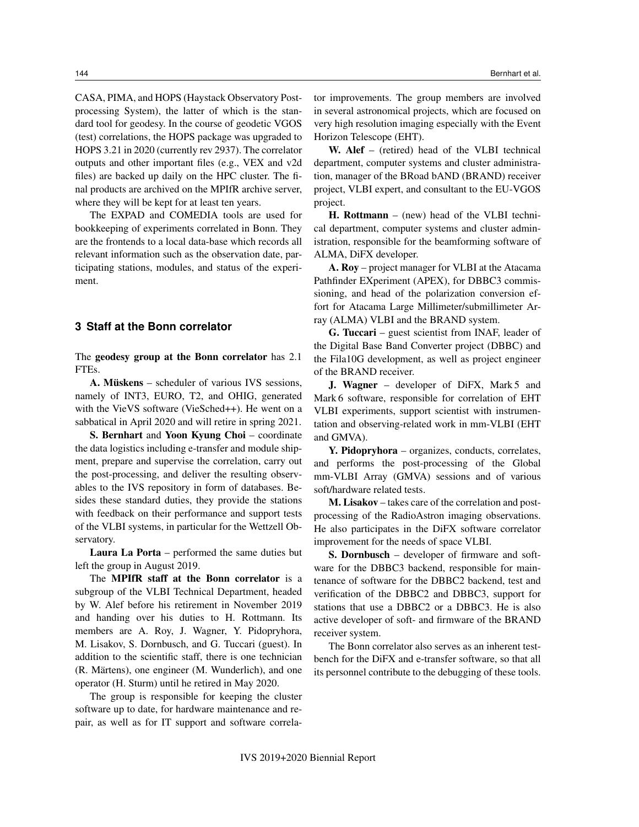CASA, PIMA, and HOPS (Haystack Observatory Postprocessing System), the latter of which is the standard tool for geodesy. In the course of geodetic VGOS (test) correlations, the HOPS package was upgraded to HOPS 3.21 in 2020 (currently rev 2937). The correlator outputs and other important files (e.g., VEX and v2d files) are backed up daily on the HPC cluster. The final products are archived on the MPIfR archive server, where they will be kept for at least ten years.

The EXPAD and COMEDIA tools are used for bookkeeping of experiments correlated in Bonn. They are the frontends to a local data-base which records all relevant information such as the observation date, participating stations, modules, and status of the experiment.

#### **3 Staff at the Bonn correlator**

The geodesy group at the Bonn correlator has 2.1 FTEs.

A. Müskens – scheduler of various IVS sessions, namely of INT3, EURO, T2, and OHIG, generated with the VieVS software (VieSched++). He went on a sabbatical in April 2020 and will retire in spring 2021.

S. Bernhart and Yoon Kyung Choi – coordinate the data logistics including e-transfer and module shipment, prepare and supervise the correlation, carry out the post-processing, and deliver the resulting observables to the IVS repository in form of databases. Besides these standard duties, they provide the stations with feedback on their performance and support tests of the VLBI systems, in particular for the Wettzell Observatory.

Laura La Porta – performed the same duties but left the group in August 2019.

The MPIfR staff at the Bonn correlator is a subgroup of the VLBI Technical Department, headed by W. Alef before his retirement in November 2019 and handing over his duties to H. Rottmann. Its members are A. Roy, J. Wagner, Y. Pidopryhora, M. Lisakov, S. Dornbusch, and G. Tuccari (guest). In addition to the scientific staff, there is one technician (R. Märtens), one engineer (M. Wunderlich), and one operator (H. Sturm) until he retired in May 2020.

The group is responsible for keeping the cluster software up to date, for hardware maintenance and repair, as well as for IT support and software correlator improvements. The group members are involved in several astronomical projects, which are focused on very high resolution imaging especially with the Event Horizon Telescope (EHT).

W. Alef – (retired) head of the VLBI technical department, computer systems and cluster administration, manager of the BRoad bAND (BRAND) receiver project, VLBI expert, and consultant to the EU-VGOS project.

H. Rottmann – (new) head of the VLBI technical department, computer systems and cluster administration, responsible for the beamforming software of ALMA, DiFX developer.

A. Roy – project manager for VLBI at the Atacama Pathfinder EXperiment (APEX), for DBBC3 commissioning, and head of the polarization conversion effort for Atacama Large Millimeter/submillimeter Array (ALMA) VLBI and the BRAND system.

G. Tuccari – guest scientist from INAF, leader of the Digital Base Band Converter project (DBBC) and the Fila10G development, as well as project engineer of the BRAND receiver.

J. Wagner – developer of DiFX, Mark 5 and Mark 6 software, responsible for correlation of EHT VLBI experiments, support scientist with instrumentation and observing-related work in mm-VLBI (EHT and GMVA).

Y. Pidopryhora – organizes, conducts, correlates, and performs the post-processing of the Global mm-VLBI Array (GMVA) sessions and of various soft/hardware related tests.

M. Lisakov – takes care of the correlation and postprocessing of the RadioAstron imaging observations. He also participates in the DiFX software correlator improvement for the needs of space VLBI.

S. Dornbusch – developer of firmware and software for the DBBC3 backend, responsible for maintenance of software for the DBBC2 backend, test and verification of the DBBC2 and DBBC3, support for stations that use a DBBC2 or a DBBC3. He is also active developer of soft- and firmware of the BRAND receiver system.

The Bonn correlator also serves as an inherent testbench for the DiFX and e-transfer software, so that all its personnel contribute to the debugging of these tools.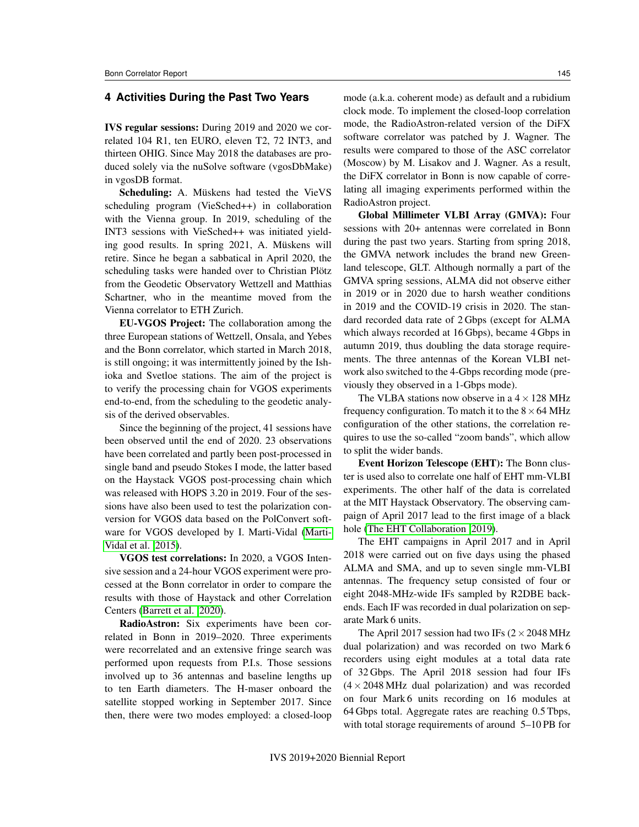#### **4 Activities During the Past Two Years**

IVS regular sessions: During 2019 and 2020 we correlated 104 R1, ten EURO, eleven T2, 72 INT3, and thirteen OHIG. Since May 2018 the databases are produced solely via the nuSolve software (vgosDbMake) in vgosDB format.

Scheduling: A. Müskens had tested the VieVS scheduling program (VieSched++) in collaboration with the Vienna group. In 2019, scheduling of the INT3 sessions with VieSched++ was initiated yielding good results. In spring 2021, A. Müskens will retire. Since he began a sabbatical in April 2020, the scheduling tasks were handed over to Christian Plötz from the Geodetic Observatory Wettzell and Matthias Schartner, who in the meantime moved from the Vienna correlator to ETH Zurich.

EU-VGOS Project: The collaboration among the three European stations of Wettzell, Onsala, and Yebes and the Bonn correlator, which started in March 2018, is still ongoing; it was intermittently joined by the Ishioka and Svetloe stations. The aim of the project is to verify the processing chain for VGOS experiments end-to-end, from the scheduling to the geodetic analysis of the derived observables.

Since the beginning of the project, 41 sessions have been observed until the end of 2020. 23 observations have been correlated and partly been post-processed in single band and pseudo Stokes I mode, the latter based on the Haystack VGOS post-processing chain which was released with HOPS 3.20 in 2019. Four of the sessions have also been used to test the polarization conversion for VGOS data based on the PolConvert software for VGOS developed by I. Marti-Vidal [\(Marti-](#page-4-3)[Vidal et al. 2015\)](#page-4-3).

VGOS test correlations: In 2020, a VGOS Intensive session and a 24-hour VGOS experiment were processed at the Bonn correlator in order to compare the results with those of Haystack and other Correlation Centers [\(Barrett et al. 2020\)](#page-4-4).

RadioAstron: Six experiments have been correlated in Bonn in 2019–2020. Three experiments were recorrelated and an extensive fringe search was performed upon requests from P.I.s. Those sessions involved up to 36 antennas and baseline lengths up to ten Earth diameters. The H-maser onboard the satellite stopped working in September 2017. Since then, there were two modes employed: a closed-loop mode (a.k.a. coherent mode) as default and a rubidium clock mode. To implement the closed-loop correlation mode, the RadioAstron-related version of the DiFX software correlator was patched by J. Wagner. The results were compared to those of the ASC correlator (Moscow) by M. Lisakov and J. Wagner. As a result, the DiFX correlator in Bonn is now capable of correlating all imaging experiments performed within the RadioAstron project.

Global Millimeter VLBI Array (GMVA): Four sessions with 20+ antennas were correlated in Bonn during the past two years. Starting from spring 2018, the GMVA network includes the brand new Greenland telescope, GLT. Although normally a part of the GMVA spring sessions, ALMA did not observe either in 2019 or in 2020 due to harsh weather conditions in 2019 and the COVID-19 crisis in 2020. The standard recorded data rate of 2 Gbps (except for ALMA which always recorded at 16 Gbps), became 4 Gbps in autumn 2019, thus doubling the data storage requirements. The three antennas of the Korean VLBI network also switched to the 4-Gbps recording mode (previously they observed in a 1-Gbps mode).

The VLBA stations now observe in a  $4 \times 128$  MHz frequency configuration. To match it to the  $8 \times 64$  MHz configuration of the other stations, the correlation requires to use the so-called "zoom bands", which allow to split the wider bands.

Event Horizon Telescope (EHT): The Bonn cluster is used also to correlate one half of EHT mm-VLBI experiments. The other half of the data is correlated at the MIT Haystack Observatory. The observing campaign of April 2017 lead to the first image of a black hole [\(The EHT Collaboration 2019\)](#page-4-5).

The EHT campaigns in April 2017 and in April 2018 were carried out on five days using the phased ALMA and SMA, and up to seven single mm-VLBI antennas. The frequency setup consisted of four or eight 2048-MHz-wide IFs sampled by R2DBE backends. Each IF was recorded in dual polarization on separate Mark 6 units.

The April 2017 session had two IFs  $(2 \times 2048 \text{ MHz})$ dual polarization) and was recorded on two Mark 6 recorders using eight modules at a total data rate of 32 Gbps. The April 2018 session had four IFs  $(4 \times 2048 \text{ MHz}$  dual polarization) and was recorded on four Mark 6 units recording on 16 modules at 64 Gbps total. Aggregate rates are reaching 0.5 Tbps, with total storage requirements of around 5–10 PB for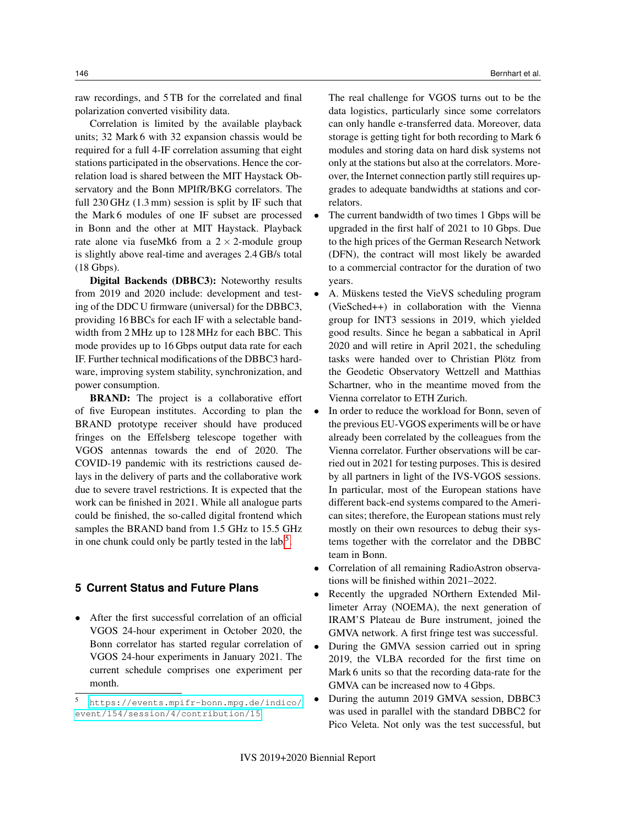raw recordings, and 5 TB for the correlated and final polarization converted visibility data.

Correlation is limited by the available playback units; 32 Mark 6 with 32 expansion chassis would be required for a full 4-IF correlation assuming that eight stations participated in the observations. Hence the correlation load is shared between the MIT Haystack Observatory and the Bonn MPIfR/BKG correlators. The full 230 GHz (1.3 mm) session is split by IF such that the Mark 6 modules of one IF subset are processed in Bonn and the other at MIT Haystack. Playback rate alone via fuseMk6 from a  $2 \times 2$ -module group is slightly above real-time and averages 2.4 GB/s total (18 Gbps).

Digital Backends (DBBC3): Noteworthy results from 2019 and 2020 include: development and testing of the DDC U firmware (universal) for the DBBC3, providing 16 BBCs for each IF with a selectable bandwidth from 2 MHz up to 128 MHz for each BBC. This mode provides up to 16 Gbps output data rate for each IF. Further technical modifications of the DBBC3 hardware, improving system stability, synchronization, and power consumption.

**BRAND:** The project is a collaborative effort of five European institutes. According to plan the BRAND prototype receiver should have produced fringes on the Effelsberg telescope together with VGOS antennas towards the end of 2020. The COVID-19 pandemic with its restrictions caused delays in the delivery of parts and the collaborative work due to severe travel restrictions. It is expected that the work can be finished in 2021. While all analogue parts could be finished, the so-called digital frontend which samples the BRAND band from 1.5 GHz to 15.5 GHz in one chunk could only be partly tested in the lab.<sup>[5](#page-3-0)</sup>.

#### **5 Current Status and Future Plans**

• After the first successful correlation of an official VGOS 24-hour experiment in October 2020, the Bonn correlator has started regular correlation of VGOS 24-hour experiments in January 2021. The current schedule comprises one experiment per month.

The real challenge for VGOS turns out to be the data logistics, particularly since some correlators can only handle e-transferred data. Moreover, data storage is getting tight for both recording to Mark 6 modules and storing data on hard disk systems not only at the stations but also at the correlators. Moreover, the Internet connection partly still requires upgrades to adequate bandwidths at stations and correlators.

- The current bandwidth of two times 1 Gbps will be upgraded in the first half of 2021 to 10 Gbps. Due to the high prices of the German Research Network (DFN), the contract will most likely be awarded to a commercial contractor for the duration of two years.
- A. Müskens tested the VieVS scheduling program (VieSched++) in collaboration with the Vienna group for INT3 sessions in 2019, which yielded good results. Since he began a sabbatical in April 2020 and will retire in April 2021, the scheduling tasks were handed over to Christian Plötz from the Geodetic Observatory Wettzell and Matthias Schartner, who in the meantime moved from the Vienna correlator to ETH Zurich.
- In order to reduce the workload for Bonn, seven of the previous EU-VGOS experiments will be or have already been correlated by the colleagues from the Vienna correlator. Further observations will be carried out in 2021 for testing purposes. This is desired by all partners in light of the IVS-VGOS sessions. In particular, most of the European stations have different back-end systems compared to the American sites; therefore, the European stations must rely mostly on their own resources to debug their systems together with the correlator and the DBBC team in Bonn.
- Correlation of all remaining RadioAstron observations will be finished within 2021–2022.
- Recently the upgraded NOrthern Extended Millimeter Array (NOEMA), the next generation of IRAM'S Plateau de Bure instrument, joined the GMVA network. A first fringe test was successful.
- During the GMVA session carried out in spring 2019, the VLBA recorded for the first time on Mark 6 units so that the recording data-rate for the GMVA can be increased now to 4 Gbps.
- During the autumn 2019 GMVA session, DBBC3 was used in parallel with the standard DBBC2 for Pico Veleta. Not only was the test successful, but

<span id="page-3-0"></span><sup>5</sup> [https://events.mpifr-bonn.mpg.de/indico/](https://events.mpifr-bonn.mpg.de/indico/event/154/session/ 4/contribution/15) [event/154/session/4/contribution/15](https://events.mpifr-bonn.mpg.de/indico/event/154/session/ 4/contribution/15)